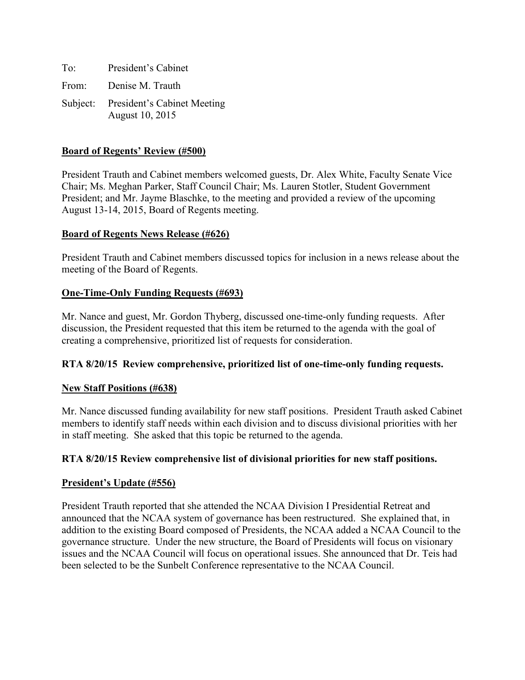| To:   | President's Cabinet                                     |
|-------|---------------------------------------------------------|
| From: | Denise M. Trauth                                        |
|       | Subject: President's Cabinet Meeting<br>August 10, 2015 |

### **Board of Regents' Review (#500)**

President Trauth and Cabinet members welcomed guests, Dr. Alex White, Faculty Senate Vice Chair; Ms. Meghan Parker, Staff Council Chair; Ms. Lauren Stotler, Student Government President; and Mr. Jayme Blaschke, to the meeting and provided a review of the upcoming August 13-14, 2015, Board of Regents meeting.

### **Board of Regents News Release (#626)**

President Trauth and Cabinet members discussed topics for inclusion in a news release about the meeting of the Board of Regents.

### **One-Time-Only Funding Requests (#693)**

Mr. Nance and guest, Mr. Gordon Thyberg, discussed one-time-only funding requests. After discussion, the President requested that this item be returned to the agenda with the goal of creating a comprehensive, prioritized list of requests for consideration.

#### **RTA 8/20/15 Review comprehensive, prioritized list of one-time-only funding requests.**

#### **New Staff Positions (#638)**

Mr. Nance discussed funding availability for new staff positions. President Trauth asked Cabinet members to identify staff needs within each division and to discuss divisional priorities with her in staff meeting. She asked that this topic be returned to the agenda.

#### **RTA 8/20/15 Review comprehensive list of divisional priorities for new staff positions.**

#### **President's Update (#556)**

President Trauth reported that she attended the NCAA Division I Presidential Retreat and announced that the NCAA system of governance has been restructured. She explained that, in addition to the existing Board composed of Presidents, the NCAA added a NCAA Council to the governance structure. Under the new structure, the Board of Presidents will focus on visionary issues and the NCAA Council will focus on operational issues. She announced that Dr. Teis had been selected to be the Sunbelt Conference representative to the NCAA Council.